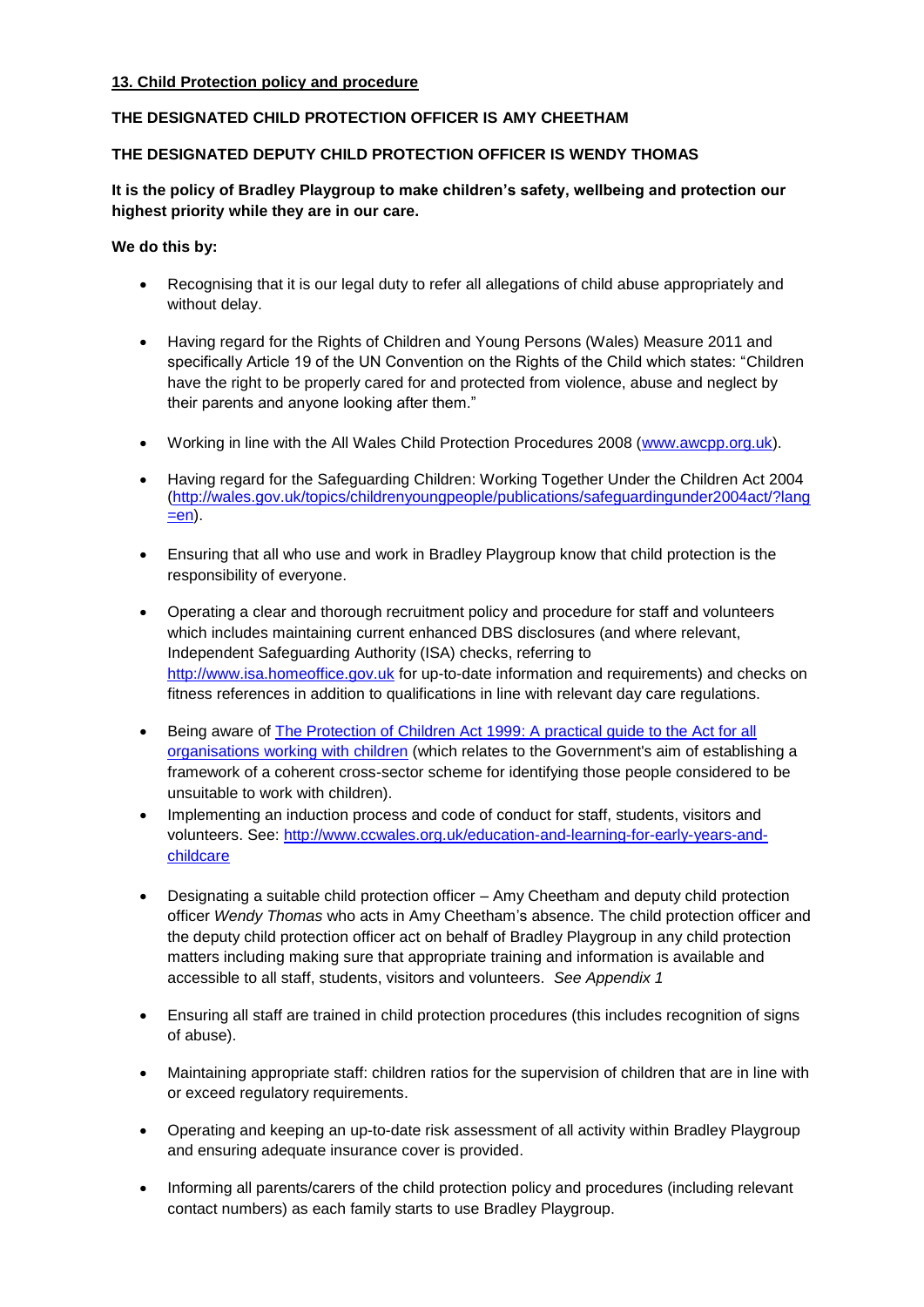### **13. Child Protection policy and procedure**

# **THE DESIGNATED CHILD PROTECTION OFFICER IS AMY CHEETHAM**

# **THE DESIGNATED DEPUTY CHILD PROTECTION OFFICER IS WENDY THOMAS**

# **It is the policy of Bradley Playgroup to make children's safety, wellbeing and protection our highest priority while they are in our care.**

**We do this by:** 

- Recognising that it is our legal duty to refer all allegations of child abuse appropriately and without delay.
- Having regard for the Rights of Children and Young Persons (Wales) Measure 2011 and specifically Article 19 of the UN Convention on the Rights of the Child which states: "Children have the right to be properly cared for and protected from violence, abuse and neglect by their parents and anyone looking after them."
- Working in line with the All Wales Child Protection Procedures 2008 [\(www.awcpp.org.uk\)](http://www.awcpp.org.uk/).
- Having regard for the Safeguarding Children: Working Together Under the Children Act 2004 [\(http://wales.gov.uk/topics/childrenyoungpeople/publications/safeguardingunder2004act/?lang](http://wales.gov.uk/topics/childrenyoungpeople/publications/safeguardingunder2004act/?lang=en)  $=$ en).
- Ensuring that all who use and work in Bradley Playgroup know that child protection is the responsibility of everyone.
- Operating a clear and thorough recruitment policy and procedure for staff and volunteers which includes maintaining current enhanced DBS disclosures (and where relevant, Independent Safeguarding Authority (ISA) checks, referring to [http://www.isa.homeoffice.gov.uk](http://www.isa.homeoffice.gov.uk/) for up-to-date information and requirements) and checks on fitness references in addition to qualifications in line with relevant day care regulations.
- Being aware of [The Protection of Children Act 1999: A practical guide to the Act for all](http://www.dh.gov.uk/en/Publicationsandstatistics/Publications/PublicationsPolicyAndGuidance/DH_4006939)  [organisations working with children](http://www.dh.gov.uk/en/Publicationsandstatistics/Publications/PublicationsPolicyAndGuidance/DH_4006939) (which relates to the Government's aim of establishing a framework of a coherent cross-sector scheme for identifying those people considered to be unsuitable to work with children).
- Implementing an induction process and code of conduct for staff, students, visitors and volunteers. See: [http://www.ccwales.org.uk/education-and-learning-for-early-years-and](http://www.ccwales.org.uk/education-and-learning-for-early-years-and-childcare)[childcare](http://www.ccwales.org.uk/education-and-learning-for-early-years-and-childcare)
- Designating a suitable child protection officer Amy Cheetham and deputy child protection officer *Wendy Thomas* who acts in Amy Cheetham's absence. The child protection officer and the deputy child protection officer act on behalf of Bradley Playgroup in any child protection matters including making sure that appropriate training and information is available and accessible to all staff, students, visitors and volunteers. *See Appendix 1*
- Ensuring all staff are trained in child protection procedures (this includes recognition of signs of abuse).
- Maintaining appropriate staff: children ratios for the supervision of children that are in line with or exceed regulatory requirements.
- Operating and keeping an up-to-date risk assessment of all activity within Bradley Playgroup and ensuring adequate insurance cover is provided.
- Informing all parents/carers of the child protection policy and procedures (including relevant contact numbers) as each family starts to use Bradley Playgroup.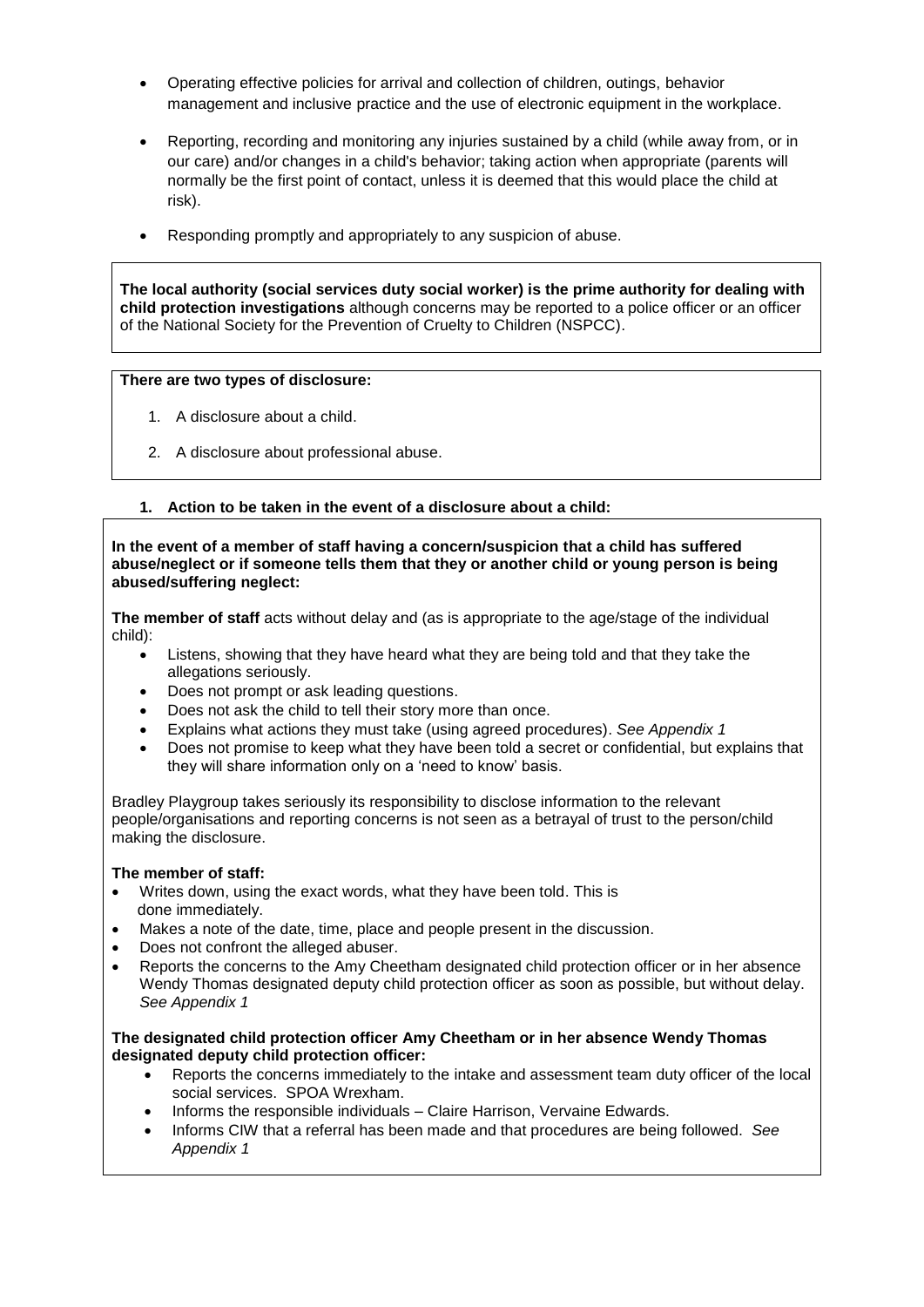- Operating effective policies for arrival and collection of children, outings, behavior management and inclusive practice and the use of electronic equipment in the workplace.
- Reporting, recording and monitoring any injuries sustained by a child (while away from, or in our care) and/or changes in a child's behavior; taking action when appropriate (parents will normally be the first point of contact, unless it is deemed that this would place the child at risk).
- Responding promptly and appropriately to any suspicion of abuse.

**The local authority (social services duty social worker) is the prime authority for dealing with child protection investigations** although concerns may be reported to a police officer or an officer of the National Society for the Prevention of Cruelty to Children (NSPCC).

#### **There are two types of disclosure:**

- 1. A disclosure about a child.
- 2. A disclosure about professional abuse.

### **1. Action to be taken in the event of a disclosure about a child:**

**In the event of a member of staff having a concern/suspicion that a child has suffered abuse/neglect or if someone tells them that they or another child or young person is being abused/suffering neglect:**

**The member of staff** acts without delay and (as is appropriate to the age/stage of the individual child):

- Listens, showing that they have heard what they are being told and that they take the allegations seriously.
- Does not prompt or ask leading questions.
- Does not ask the child to tell their story more than once.
- Explains what actions they must take (using agreed procedures). *See Appendix 1*
- Does not promise to keep what they have been told a secret or confidential, but explains that they will share information only on a 'need to know' basis.

Bradley Playgroup takes seriously its responsibility to disclose information to the relevant people/organisations and reporting concerns is not seen as a betrayal of trust to the person/child making the disclosure.

#### **The member of staff:**

- Writes down, using the exact words, what they have been told. This is done immediately.
- Makes a note of the date, time, place and people present in the discussion.
- Does not confront the alleged abuser.
- Reports the concerns to the Amy Cheetham designated child protection officer or in her absence Wendy Thomas designated deputy child protection officer as soon as possible, but without delay. *See Appendix 1*

#### **The designated child protection officer Amy Cheetham or in her absence Wendy Thomas designated deputy child protection officer:**

- Reports the concerns immediately to the intake and assessment team duty officer of the local social services. SPOA Wrexham.
- Informs the responsible individuals Claire Harrison, Vervaine Edwards.
- Informs CIW that a referral has been made and that procedures are being followed. *See Appendix 1*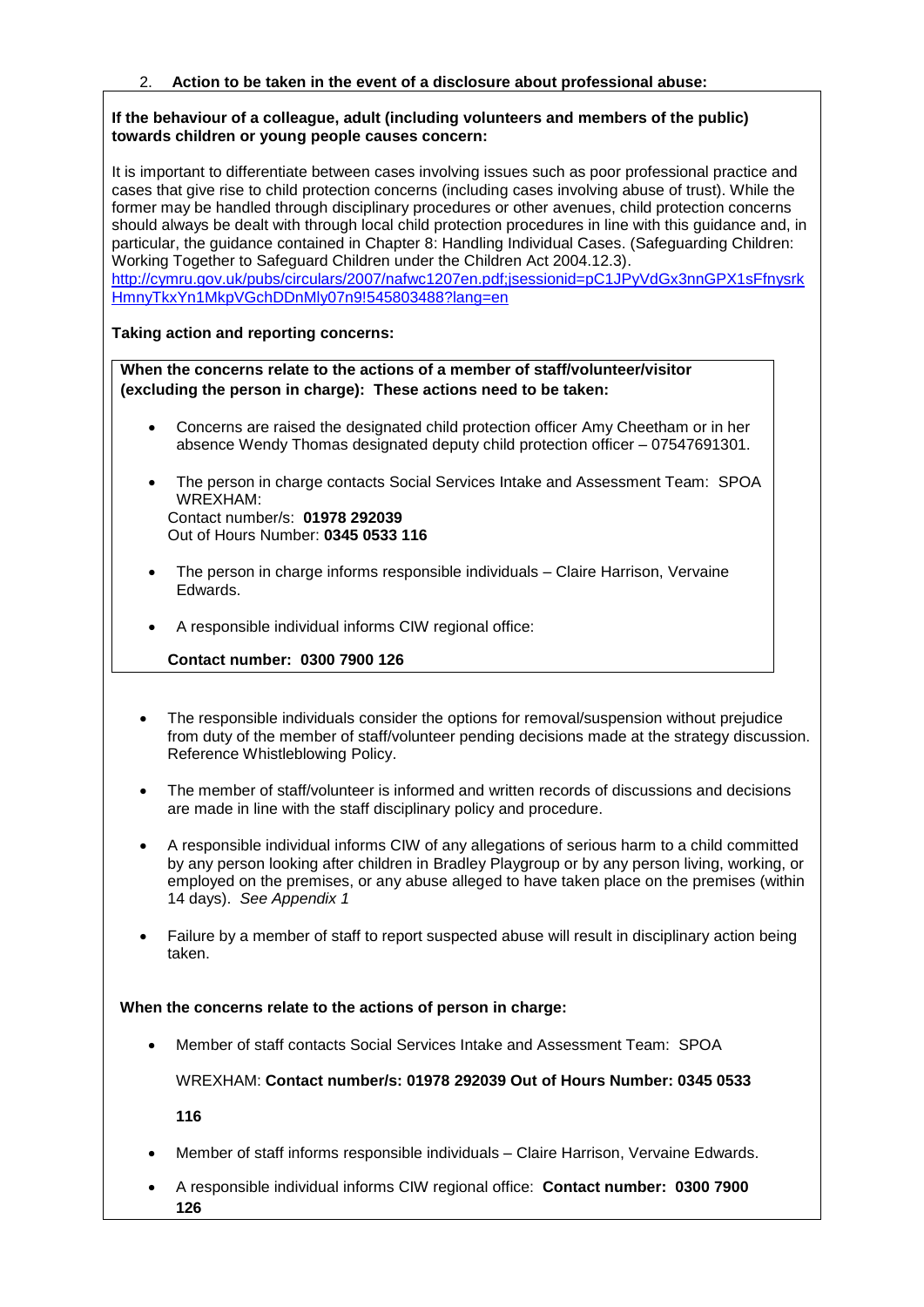#### **If the behaviour of a colleague, adult (including volunteers and members of the public) towards children or young people causes concern:**

It is important to differentiate between cases involving issues such as poor professional practice and cases that give rise to child protection concerns (including cases involving abuse of trust). While the former may be handled through disciplinary procedures or other avenues, child protection concerns should always be dealt with through local child protection procedures in line with this guidance and, in particular, the guidance contained in Chapter 8: Handling Individual Cases. (Safeguarding Children: Working Together to Safeguard Children under the Children Act 2004.12.3). [http://cymru.gov.uk/pubs/circulars/2007/nafwc1207en.pdf;jsessionid=pC1JPyVdGx3nnGPX1sFfnysrk](http://cymru.gov.uk/pubs/circulars/2007/nafwc1207en.pdf;jsessionid=pC1JPyVdGx3nnGPX1sFfnysrkHmnyTkxYn1MkpVGchDDnMly07n9!545803488?lang=en)

[HmnyTkxYn1MkpVGchDDnMly07n9!545803488?lang=en](http://cymru.gov.uk/pubs/circulars/2007/nafwc1207en.pdf;jsessionid=pC1JPyVdGx3nnGPX1sFfnysrkHmnyTkxYn1MkpVGchDDnMly07n9!545803488?lang=en)

## **Taking action and reporting concerns:**

**When the concerns relate to the actions of a member of staff/volunteer/visitor (excluding the person in charge): These actions need to be taken:**

- Concerns are raised the designated child protection officer Amy Cheetham or in her absence Wendy Thomas designated deputy child protection officer – 07547691301.
- The person in charge contacts Social Services Intake and Assessment Team: SPOA WREXHAM: Contact number/s: **01978 292039** Out of Hours Number: **0345 0533 116**
- The person in charge informs responsible individuals Claire Harrison, Vervaine Edwards.
- A responsible individual informs CIW regional office:

# **Contact number: 0300 7900 126**

- The responsible individuals consider the options for removal/suspension without prejudice from duty of the member of staff/volunteer pending decisions made at the strategy discussion. Reference Whistleblowing Policy.
- The member of staff/volunteer is informed and written records of discussions and decisions are made in line with the staff disciplinary policy and procedure.
- A responsible individual informs CIW of any allegations of serious harm to a child committed by any person looking after children in Bradley Playgroup or by any person living, working, or employed on the premises, or any abuse alleged to have taken place on the premises (within 14 days). *See Appendix 1*
- Failure by a member of staff to report suspected abuse will result in disciplinary action being taken.

### **When the concerns relate to the actions of person in charge:**

• Member of staff contacts Social Services Intake and Assessment Team: SPOA

WREXHAM: **Contact number/s: 01978 292039 Out of Hours Number: 0345 0533** 

**116**

- Member of staff informs responsible individuals Claire Harrison, Vervaine Edwards.
- A responsible individual informs CIW regional office: **Contact number: 0300 7900 126**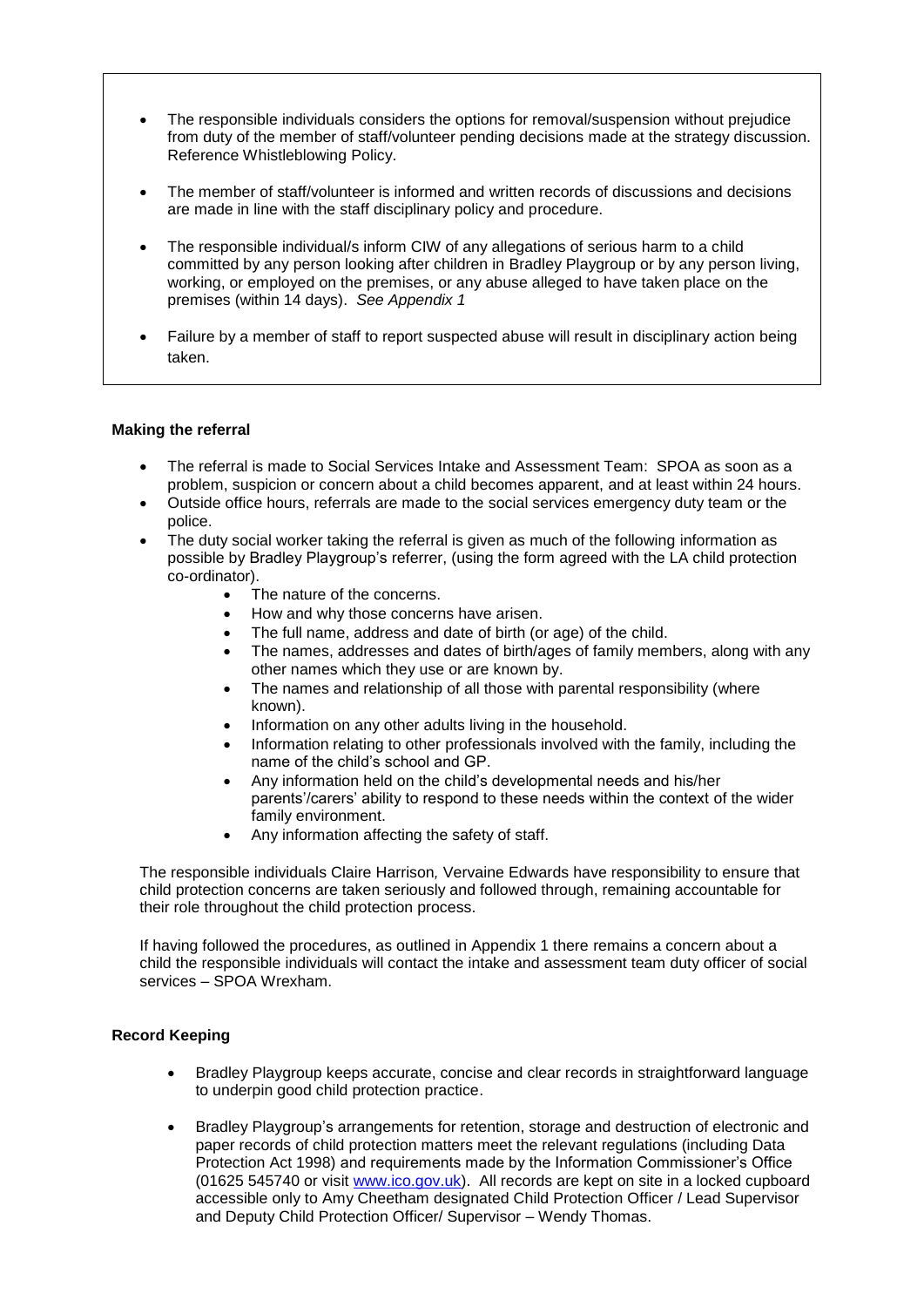- The responsible individuals considers the options for removal/suspension without prejudice from duty of the member of staff/volunteer pending decisions made at the strategy discussion. Reference Whistleblowing Policy.
- The member of staff/volunteer is informed and written records of discussions and decisions are made in line with the staff disciplinary policy and procedure.
- The responsible individual/s inform CIW of any allegations of serious harm to a child committed by any person looking after children in Bradley Playgroup or by any person living, working, or employed on the premises, or any abuse alleged to have taken place on the premises (within 14 days). *See Appendix 1*
- Failure by a member of staff to report suspected abuse will result in disciplinary action being taken.

#### **Making the referral**

- The referral is made to Social Services Intake and Assessment Team: SPOA as soon as a problem, suspicion or concern about a child becomes apparent, and at least within 24 hours.
- Outside office hours, referrals are made to the social services emergency duty team or the police.
- The duty social worker taking the referral is given as much of the following information as possible by Bradley Playgroup's referrer, (using the form agreed with the LA child protection co-ordinator).
	- The nature of the concerns.
	- How and why those concerns have arisen.
	- The full name, address and date of birth (or age) of the child.
	- The names, addresses and dates of birth/ages of family members, along with any other names which they use or are known by.
	- The names and relationship of all those with parental responsibility (where known).
	- Information on any other adults living in the household.
	- Information relating to other professionals involved with the family, including the name of the child's school and GP.
	- Any information held on the child's developmental needs and his/her parents'/carers' ability to respond to these needs within the context of the wider family environment.
	- Any information affecting the safety of staff.

• The responsible individuals Claire Harrison*,* Vervaine Edwards have responsibility to ensure that child protection concerns are taken seriously and followed through, remaining accountable for their role throughout the child protection process.

• If having followed the procedures, as outlined in Appendix 1 there remains a concern about a child the responsible individuals will contact the intake and assessment team duty officer of social services – SPOA Wrexham.

### **Record Keeping**

- Bradley Playgroup keeps accurate, concise and clear records in straightforward language to underpin good child protection practice.
- Bradley Playgroup's arrangements for retention, storage and destruction of electronic and paper records of child protection matters meet the relevant regulations (including Data Protection Act 1998) and requirements made by the Information Commissioner's Office (01625 545740 or visit [www.ico.gov.uk\)](http://www.ico.gov.uk/). All records are kept on site in a locked cupboard accessible only to Amy Cheetham designated Child Protection Officer / Lead Supervisor and Deputy Child Protection Officer/ Supervisor – Wendy Thomas.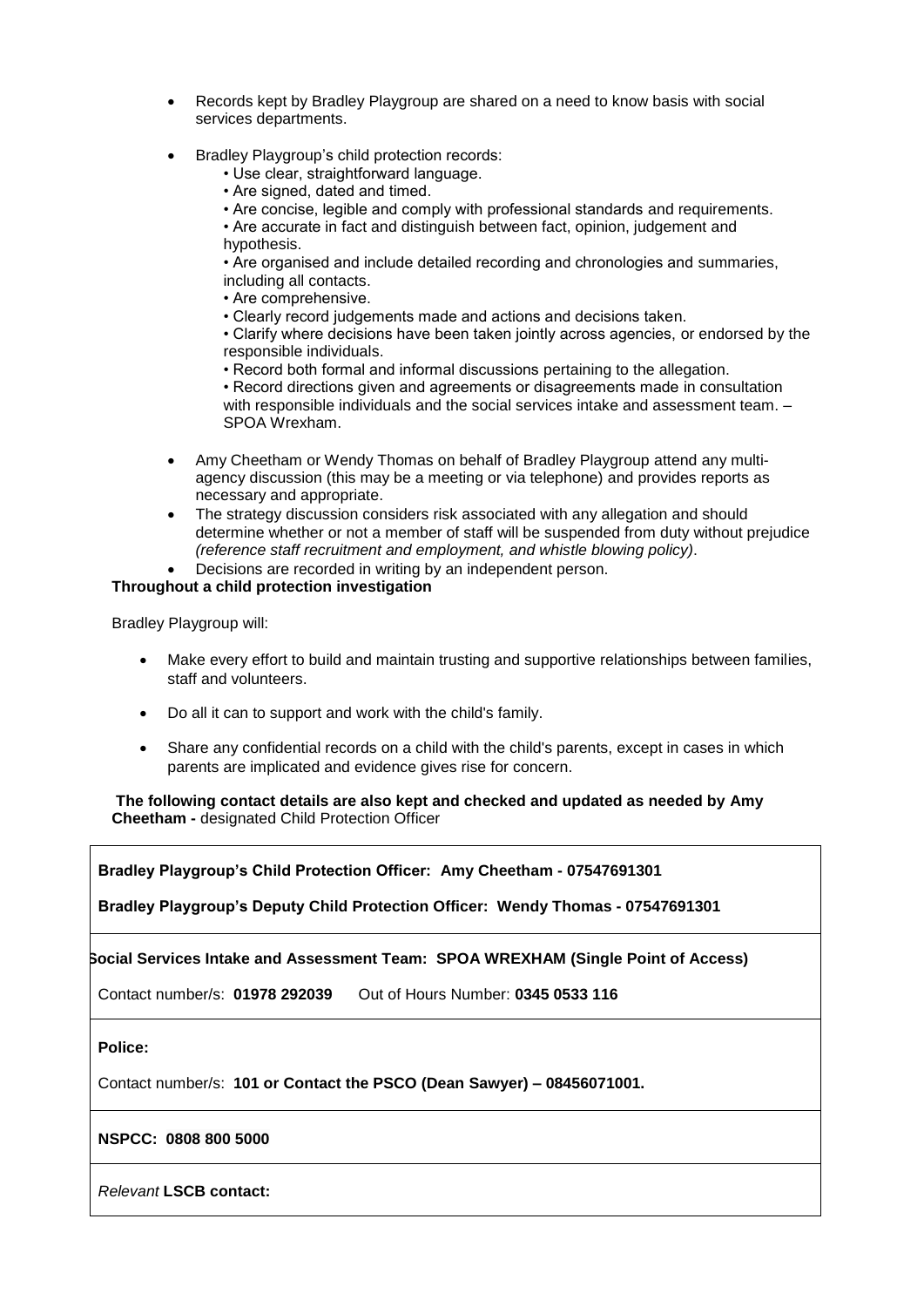- Records kept by Bradley Playgroup are shared on a need to know basis with social services departments.
- Bradley Playgroup's child protection records:

• Use clear, straightforward language.

- Are signed, dated and timed.
- Are concise, legible and comply with professional standards and requirements.

• Are accurate in fact and distinguish between fact, opinion, judgement and hypothesis.

• Are organised and include detailed recording and chronologies and summaries, including all contacts.

• Are comprehensive.

• Clearly record judgements made and actions and decisions taken.

• Clarify where decisions have been taken jointly across agencies, or endorsed by the responsible individuals.

• Record both formal and informal discussions pertaining to the allegation.

• Record directions given and agreements or disagreements made in consultation with responsible individuals and the social services intake and assessment team.  $-$ SPOA Wrexham.

- Amy Cheetham or Wendy Thomas on behalf of Bradley Playgroup attend any multiagency discussion (this may be a meeting or via telephone) and provides reports as necessary and appropriate.
- The strategy discussion considers risk associated with any allegation and should determine whether or not a member of staff will be suspended from duty without prejudice *(reference staff recruitment and employment, and whistle blowing policy)*.
- Decisions are recorded in writing by an independent person.

#### **Throughout a child protection investigation**

Bradley Playgroup will:

- Make every effort to build and maintain trusting and supportive relationships between families, staff and volunteers.
- Do all it can to support and work with the child's family.
- Share any confidential records on a child with the child's parents, except in cases in which parents are implicated and evidence gives rise for concern.

**The following contact details are also kept and checked and updated as needed by Amy Cheetham -** designated Child Protection Officer

**Bradley Playgroup's Child Protection Officer: Amy Cheetham - 07547691301**

**Bradley Playgroup's Deputy Child Protection Officer: Wendy Thomas - 07547691301**

**Social Services Intake and Assessment Team: SPOA WREXHAM (Single Point of Access)**

Contact number/s: **01978 292039** Out of Hours Number: **0345 0533 116**

**Police:**

Contact number/s: **101 or Contact the PSCO (Dean Sawyer) – 08456071001.** 

### **NSPCC: 0808 800 5000**

*Relevant* **LSCB contact:**